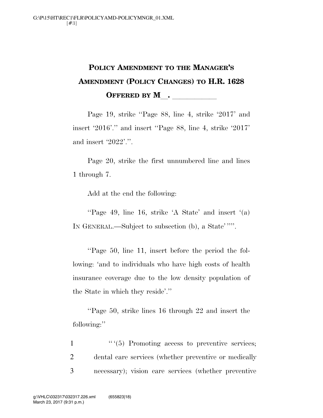## **POLICY AMENDMENT TO THE MANAGER'S AMENDMENT (POLICY CHANGES) TO H.R. 1628 OFFERED BY M\_\_\_\_\_\_\_\_\_\_\_**

Page 19, strike ''Page 88, line 4, strike '2017' and insert '2016'.'' and insert ''Page 88, line 4, strike '2017' and insert '2022'.''.

Page 20, strike the first unnumbered line and lines 1 through 7.

Add at the end the following:

''Page 49, line 16, strike 'A State' and insert '(a) IN GENERAL.—Subject to subsection (b), a State' ''''.

''Page 50, line 11, insert before the period the following: 'and to individuals who have high costs of health insurance coverage due to the low density population of the State in which they reside'.''

''Page 50, strike lines 16 through 22 and insert the following:''

 $\frac{1}{1}$  '' (5) Promoting access to preventive services; 2 dental care services (whether preventive or medically 3 necessary); vision care services (whether preventive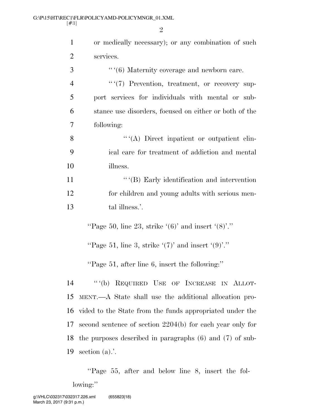| 1              | or medically necessary); or any combination of such          |
|----------------|--------------------------------------------------------------|
| $\overline{2}$ | services.                                                    |
| 3              |                                                              |
| $\overline{4}$ | ""(7) Prevention, treatment, or recovery sup-                |
| 5              | port services for individuals with mental or sub-            |
| 6              | stance use disorders, focused on either or both of the       |
| 7              | following:                                                   |
| 8              | $``(A)$ Direct inpatient or outpatient clin-                 |
| 9              | ical care for treatment of addiction and mental              |
| 10             | illness.                                                     |
| 11             | $``$ (B) Early identification and intervention               |
| 12             | for children and young adults with serious men-              |
| 13             | tal illness.'.                                               |
|                | "Page 50, line 23, strike $(6)$ " and insert $(8)$ "."       |
|                | "Page 51, line 3, strike $'(7)$ " and insert $'(9)$ "."      |
|                | "Page 51, after line 6, insert the following:"               |
| 14             | "(b) REQUIRED USE OF INCREASE IN ALLOT-                      |
| 15             | MENT.—A State shall use the additional allocation pro-       |
| 16             | vided to the State from the funds appropriated under the     |
| 17             | second sentence of section 2204(b) for each year only for    |
| 18             | the purposes described in paragraphs $(6)$ and $(7)$ of sub- |
| 19             | section $(a)$ .'.                                            |

''Page 55, after and below line 8, insert the following:"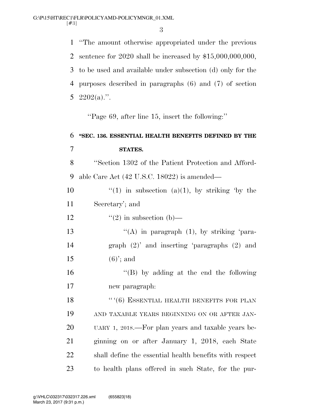''The amount otherwise appropriated under the previous sentence for 2020 shall be increased by \$15,000,000,000, to be used and available under subsection (d) only for the purposes described in paragraphs (6) and (7) of section  $2202(a)$ .".

''Page 69, after line 15, insert the following:''

## **''SEC. 136. ESSENTIAL HEALTH BENEFITS DEFINED BY THE STATES.**  ''Section 1302 of the Patient Protection and Afford- able Care Act (42 U.S.C. 18022) is amended— 10  $\frac{1}{10}$  in subsection (a)(1), by striking 'by the Secretary'; and 12  $\frac{12}{2}$  in subsection (b) 13 "(A) in paragraph (1), by striking 'para- graph (2)' and inserting 'paragraphs (2) and 15 (6)'; and ''(B) by adding at the end the following new paragraph: 18 "'(6) ESSENTIAL HEALTH BENEFITS FOR PLAN AND TAXABLE YEARS BEGINNING ON OR AFTER JAN- UARY 1, 2018.—For plan years and taxable years be- ginning on or after January 1, 2018, each State shall define the essential health benefits with respect to health plans offered in such State, for the pur-